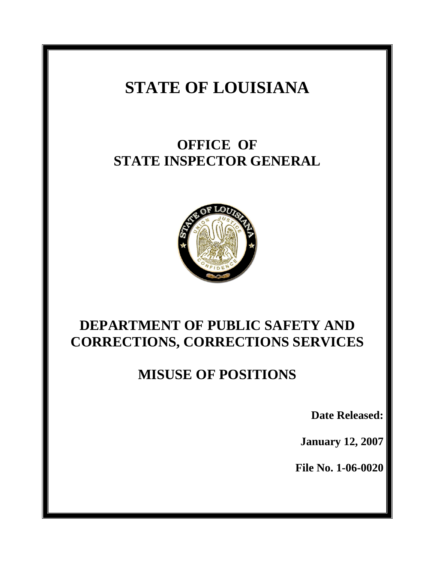# **STATE OF LOUISIANA**

## **OFFICE OF STATE INSPECTOR GENERAL**



## **DEPARTMENT OF PUBLIC SAFETY AND CORRECTIONS, CORRECTIONS SERVICES**

## **MISUSE OF POSITIONS**

**Date Released:** 

**January 12, 2007** 

**File No. 1-06-0020**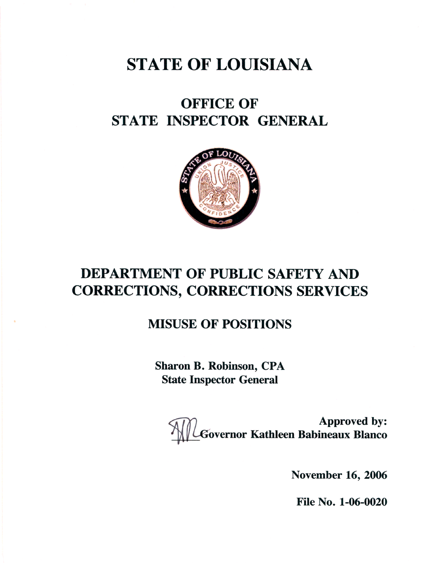# **STATE OF LOUISIANA**

## **OFFICE OF** STATE INSPECTOR GENERAL



## **DEPARTMENT OF PUBLIC SAFETY AND CORRECTIONS, CORRECTIONS SERVICES**

### **MISUSE OF POSITIONS**

**Sharon B. Robinson, CPA State Inspector General** 

**Approved by:**<br>Governor Kathleen Babineaux Blanco

**November 16, 2006** 

File No. 1-06-0020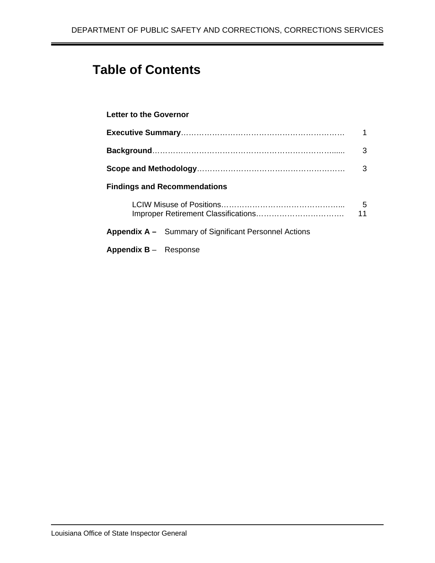## **Table of Contents**

#### **Letter to the Governor**

|                                                              | 3       |
|--------------------------------------------------------------|---------|
|                                                              | 3       |
| <b>Findings and Recommendations</b>                          |         |
|                                                              | 5<br>11 |
| <b>Appendix A –</b> Summary of Significant Personnel Actions |         |
| Appendix B - Response                                        |         |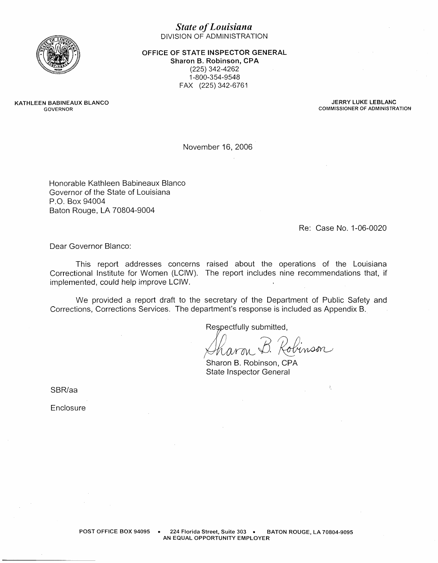

#### **State of Louisiana** DIVISION OF ADMINISTRATION

OFFICE OF STATE INSPECTOR GENERAL

Sharon B. Robinson, CPA (225) 342-4262 1-800-354-9548 FAX (225) 342-6761

KATHLEEN BABINEAUX BLANCO GOVERNOR

JERRY LUKE LEBLANC **COMMISSIONER OF ADMINISTRATION** 

November 16, 2006

Honorable Kathleen Babineaux Blanco Governor of the State of Louisiana P.O. Box 94004 Baton Rouge, LA 70804-9004

Re: Case No. 1-06-0020

 $\hat{\mathcal{Z}}_i$ 

Dear Governor Blanco:

This report addresses concerns raised about the operations of the Louisiana Correctional Institute for Women (LCIW). The report includes nine recommendations that, if implemented, could help improve LCIW.

We provided a report draft to the secretary of the Department of Public Safety and Corrections, Corrections Services. The department's response is included as Appendix B.

Respectfully submitted,

dinson harm.

Sharon B. Robinson, CPA **State Inspector General** 

SBR/aa

Enclosure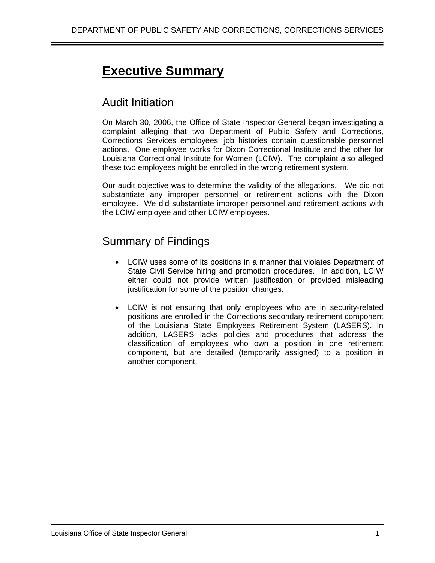## **Executive Summary**

### Audit Initiation

On March 30, 2006, the Office of State Inspector General began investigating a complaint alleging that two Department of Public Safety and Corrections, Corrections Services employees' job histories contain questionable personnel actions. One employee works for Dixon Correctional Institute and the other for Louisiana Correctional Institute for Women (LCIW). The complaint also alleged these two employees might be enrolled in the wrong retirement system.

Our audit objective was to determine the validity of the allegations. We did not substantiate any improper personnel or retirement actions with the Dixon employee. We did substantiate improper personnel and retirement actions with the LCIW employee and other LCIW employees.

## Summary of Findings

- LCIW uses some of its positions in a manner that violates Department of State Civil Service hiring and promotion procedures. In addition, LCIW either could not provide written justification or provided misleading justification for some of the position changes.
- LCIW is not ensuring that only employees who are in security-related positions are enrolled in the Corrections secondary retirement component of the Louisiana State Employees Retirement System (LASERS). In addition, LASERS lacks policies and procedures that address the classification of employees who own a position in one retirement component, but are detailed (temporarily assigned) to a position in another component.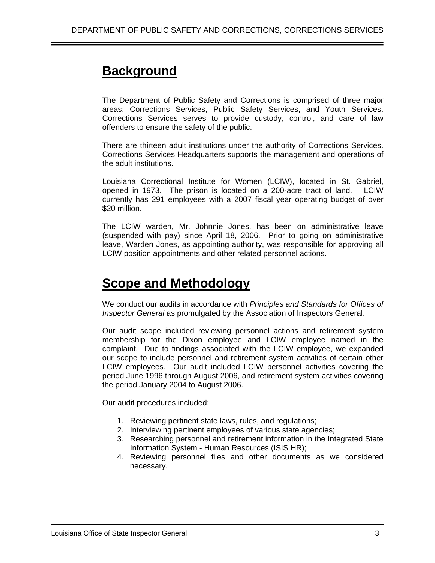## **Background**

The Department of Public Safety and Corrections is comprised of three major areas: Corrections Services, Public Safety Services, and Youth Services. Corrections Services serves to provide custody, control, and care of law offenders to ensure the safety of the public.

There are thirteen adult institutions under the authority of Corrections Services. Corrections Services Headquarters supports the management and operations of the adult institutions.

Louisiana Correctional Institute for Women (LCIW), located in St. Gabriel, opened in 1973. The prison is located on a 200-acre tract of land. LCIW currently has 291 employees with a 2007 fiscal year operating budget of over \$20 million.

The LCIW warden, Mr. Johnnie Jones, has been on administrative leave (suspended with pay) since April 18, 2006. Prior to going on administrative leave, Warden Jones, as appointing authority, was responsible for approving all LCIW position appointments and other related personnel actions.

## **Scope and Methodology**

We conduct our audits in accordance with *Principles and Standards for Offices of Inspector General* as promulgated by the Association of Inspectors General.

Our audit scope included reviewing personnel actions and retirement system membership for the Dixon employee and LCIW employee named in the complaint. Due to findings associated with the LCIW employee, we expanded our scope to include personnel and retirement system activities of certain other LCIW employees. Our audit included LCIW personnel activities covering the period June 1996 through August 2006, and retirement system activities covering the period January 2004 to August 2006.

Our audit procedures included:

- 1. Reviewing pertinent state laws, rules, and regulations;
- 2. Interviewing pertinent employees of various state agencies;
- 3. Researching personnel and retirement information in the Integrated State Information System - Human Resources (ISIS HR);
- 4. Reviewing personnel files and other documents as we considered necessary.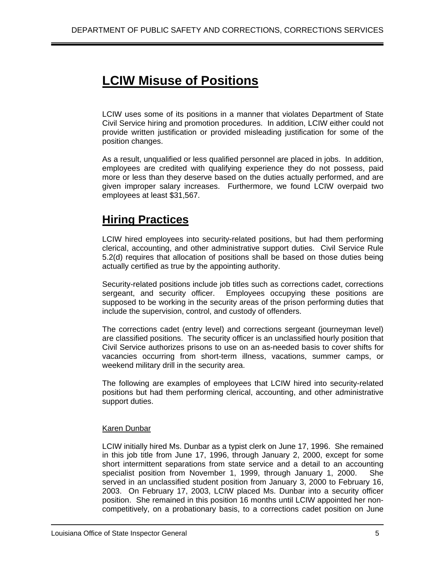## **LCIW Misuse of Positions**

LCIW uses some of its positions in a manner that violates Department of State Civil Service hiring and promotion procedures. In addition, LCIW either could not provide written justification or provided misleading justification for some of the position changes.

As a result, unqualified or less qualified personnel are placed in jobs. In addition, employees are credited with qualifying experience they do not possess, paid more or less than they deserve based on the duties actually performed, and are given improper salary increases. Furthermore, we found LCIW overpaid two employees at least \$31,567.

## **Hiring Practices**

LCIW hired employees into security-related positions, but had them performing clerical, accounting, and other administrative support duties. Civil Service Rule 5.2(d) requires that allocation of positions shall be based on those duties being actually certified as true by the appointing authority.

Security-related positions include job titles such as corrections cadet, corrections sergeant, and security officer. Employees occupying these positions are supposed to be working in the security areas of the prison performing duties that include the supervision, control, and custody of offenders.

The corrections cadet (entry level) and corrections sergeant (journeyman level) are classified positions. The security officer is an unclassified hourly position that Civil Service authorizes prisons to use on an as-needed basis to cover shifts for vacancies occurring from short-term illness, vacations, summer camps, or weekend military drill in the security area.

The following are examples of employees that LCIW hired into security-related positions but had them performing clerical, accounting, and other administrative support duties.

#### Karen Dunbar

LCIW initially hired Ms. Dunbar as a typist clerk on June 17, 1996. She remained in this job title from June 17, 1996, through January 2, 2000, except for some short intermittent separations from state service and a detail to an accounting specialist position from November 1, 1999, through January 1, 2000. She served in an unclassified student position from January 3, 2000 to February 16, 2003. On February 17, 2003, LCIW placed Ms. Dunbar into a security officer position. She remained in this position 16 months until LCIW appointed her noncompetitively, on a probationary basis, to a corrections cadet position on June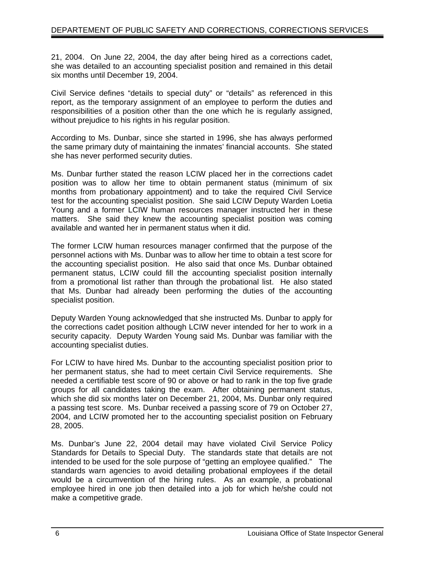21, 2004. On June 22, 2004, the day after being hired as a corrections cadet, she was detailed to an accounting specialist position and remained in this detail six months until December 19, 2004.

Civil Service defines "details to special duty" or "details" as referenced in this report, as the temporary assignment of an employee to perform the duties and responsibilities of a position other than the one which he is regularly assigned, without prejudice to his rights in his regular position.

According to Ms. Dunbar, since she started in 1996, she has always performed the same primary duty of maintaining the inmates' financial accounts. She stated she has never performed security duties.

Ms. Dunbar further stated the reason LCIW placed her in the corrections cadet position was to allow her time to obtain permanent status (minimum of six months from probationary appointment) and to take the required Civil Service test for the accounting specialist position. She said LCIW Deputy Warden Loetia Young and a former LCIW human resources manager instructed her in these matters. She said they knew the accounting specialist position was coming available and wanted her in permanent status when it did.

The former LCIW human resources manager confirmed that the purpose of the personnel actions with Ms. Dunbar was to allow her time to obtain a test score for the accounting specialist position. He also said that once Ms. Dunbar obtained permanent status, LCIW could fill the accounting specialist position internally from a promotional list rather than through the probational list. He also stated that Ms. Dunbar had already been performing the duties of the accounting specialist position.

Deputy Warden Young acknowledged that she instructed Ms. Dunbar to apply for the corrections cadet position although LCIW never intended for her to work in a security capacity. Deputy Warden Young said Ms. Dunbar was familiar with the accounting specialist duties.

For LCIW to have hired Ms. Dunbar to the accounting specialist position prior to her permanent status, she had to meet certain Civil Service requirements. She needed a certifiable test score of 90 or above or had to rank in the top five grade groups for all candidates taking the exam. After obtaining permanent status, which she did six months later on December 21, 2004, Ms. Dunbar only required a passing test score. Ms. Dunbar received a passing score of 79 on October 27, 2004, and LCIW promoted her to the accounting specialist position on February 28, 2005.

Ms. Dunbar's June 22, 2004 detail may have violated Civil Service Policy Standards for Details to Special Duty. The standards state that details are not intended to be used for the sole purpose of "getting an employee qualified." The standards warn agencies to avoid detailing probational employees if the detail would be a circumvention of the hiring rules. As an example, a probational employee hired in one job then detailed into a job for which he/she could not make a competitive grade.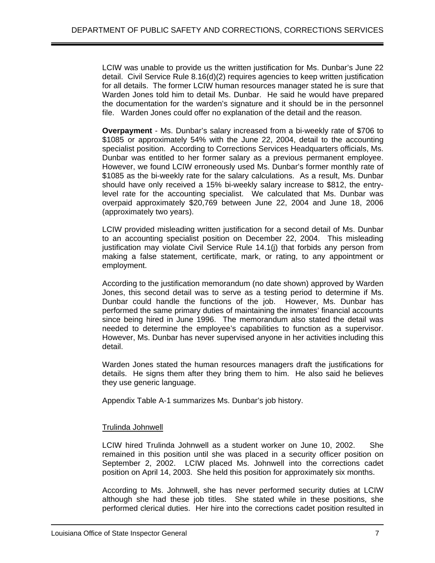LCIW was unable to provide us the written justification for Ms. Dunbar's June 22 detail. Civil Service Rule 8.16(d)(2) requires agencies to keep written justification for all details. The former LCIW human resources manager stated he is sure that Warden Jones told him to detail Ms. Dunbar. He said he would have prepared the documentation for the warden's signature and it should be in the personnel file. Warden Jones could offer no explanation of the detail and the reason.

**Overpayment** - Ms. Dunbar's salary increased from a bi-weekly rate of \$706 to \$1085 or approximately 54% with the June 22, 2004, detail to the accounting specialist position. According to Corrections Services Headquarters officials, Ms. Dunbar was entitled to her former salary as a previous permanent employee. However, we found LCIW erroneously used Ms. Dunbar's former monthly rate of \$1085 as the bi-weekly rate for the salary calculations. As a result, Ms. Dunbar should have only received a 15% bi-weekly salary increase to \$812, the entrylevel rate for the accounting specialist. We calculated that Ms. Dunbar was overpaid approximately \$20,769 between June 22, 2004 and June 18, 2006 (approximately two years).

LCIW provided misleading written justification for a second detail of Ms. Dunbar to an accounting specialist position on December 22, 2004. This misleading justification may violate Civil Service Rule 14.1(j) that forbids any person from making a false statement, certificate, mark, or rating, to any appointment or employment.

According to the justification memorandum (no date shown) approved by Warden Jones, this second detail was to serve as a testing period to determine if Ms. Dunbar could handle the functions of the job. However, Ms. Dunbar has performed the same primary duties of maintaining the inmates' financial accounts since being hired in June 1996. The memorandum also stated the detail was needed to determine the employee's capabilities to function as a supervisor. However, Ms. Dunbar has never supervised anyone in her activities including this detail.

Warden Jones stated the human resources managers draft the justifications for details. He signs them after they bring them to him. He also said he believes they use generic language.

Appendix Table A-1 summarizes Ms. Dunbar's job history.

#### Trulinda Johnwell

LCIW hired Trulinda Johnwell as a student worker on June 10, 2002. She remained in this position until she was placed in a security officer position on September 2, 2002. LCIW placed Ms. Johnwell into the corrections cadet position on April 14, 2003. She held this position for approximately six months.

According to Ms. Johnwell, she has never performed security duties at LCIW although she had these job titles. She stated while in these positions, she performed clerical duties. Her hire into the corrections cadet position resulted in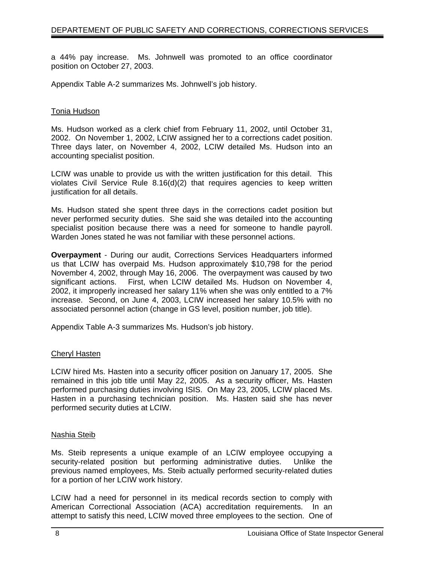a 44% pay increase. Ms. Johnwell was promoted to an office coordinator position on October 27, 2003.

Appendix Table A-2 summarizes Ms. Johnwell's job history.

#### Tonia Hudson

Ms. Hudson worked as a clerk chief from February 11, 2002, until October 31, 2002. On November 1, 2002, LCIW assigned her to a corrections cadet position. Three days later, on November 4, 2002, LCIW detailed Ms. Hudson into an accounting specialist position.

LCIW was unable to provide us with the written justification for this detail. This violates Civil Service Rule 8.16(d)(2) that requires agencies to keep written justification for all details.

Ms. Hudson stated she spent three days in the corrections cadet position but never performed security duties. She said she was detailed into the accounting specialist position because there was a need for someone to handle payroll. Warden Jones stated he was not familiar with these personnel actions.

**Overpayment** - During our audit, Corrections Services Headquarters informed us that LCIW has overpaid Ms. Hudson approximately \$10,798 for the period November 4, 2002, through May 16, 2006. The overpayment was caused by two significant actions. First, when LCIW detailed Ms. Hudson on November 4, 2002, it improperly increased her salary 11% when she was only entitled to a 7% increase. Second, on June 4, 2003, LCIW increased her salary 10.5% with no associated personnel action (change in GS level, position number, job title).

Appendix Table A-3 summarizes Ms. Hudson's job history.

#### Cheryl Hasten

LCIW hired Ms. Hasten into a security officer position on January 17, 2005. She remained in this job title until May 22, 2005. As a security officer, Ms. Hasten performed purchasing duties involving ISIS. On May 23, 2005, LCIW placed Ms. Hasten in a purchasing technician position. Ms. Hasten said she has never performed security duties at LCIW.

#### Nashia Steib

Ms. Steib represents a unique example of an LCIW employee occupying a security-related position but performing administrative duties. Unlike the previous named employees, Ms. Steib actually performed security-related duties for a portion of her LCIW work history.

LCIW had a need for personnel in its medical records section to comply with American Correctional Association (ACA) accreditation requirements. In an attempt to satisfy this need, LCIW moved three employees to the section. One of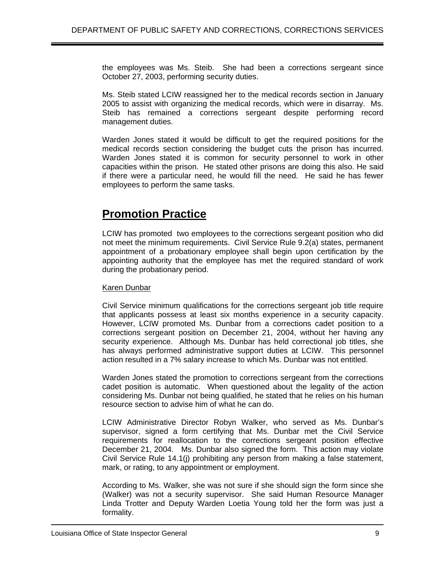the employees was Ms. Steib. She had been a corrections sergeant since October 27, 2003, performing security duties.

Ms. Steib stated LCIW reassigned her to the medical records section in January 2005 to assist with organizing the medical records, which were in disarray. Ms. Steib has remained a corrections sergeant despite performing record management duties.

Warden Jones stated it would be difficult to get the required positions for the medical records section considering the budget cuts the prison has incurred. Warden Jones stated it is common for security personnel to work in other capacities within the prison. He stated other prisons are doing this also. He said if there were a particular need, he would fill the need. He said he has fewer employees to perform the same tasks.

### **Promotion Practice**

LCIW has promoted two employees to the corrections sergeant position who did not meet the minimum requirements. Civil Service Rule 9.2(a) states, permanent appointment of a probationary employee shall begin upon certification by the appointing authority that the employee has met the required standard of work during the probationary period.

#### Karen Dunbar

Civil Service minimum qualifications for the corrections sergeant job title require that applicants possess at least six months experience in a security capacity. However, LCIW promoted Ms. Dunbar from a corrections cadet position to a corrections sergeant position on December 21, 2004, without her having any security experience. Although Ms. Dunbar has held correctional job titles, she has always performed administrative support duties at LCIW. This personnel action resulted in a 7% salary increase to which Ms. Dunbar was not entitled.

Warden Jones stated the promotion to corrections sergeant from the corrections cadet position is automatic. When questioned about the legality of the action considering Ms. Dunbar not being qualified, he stated that he relies on his human resource section to advise him of what he can do.

LCIW Administrative Director Robyn Walker, who served as Ms. Dunbar's supervisor, signed a form certifying that Ms. Dunbar met the Civil Service requirements for reallocation to the corrections sergeant position effective December 21, 2004. Ms. Dunbar also signed the form. This action may violate Civil Service Rule 14.1(j) prohibiting any person from making a false statement, mark, or rating, to any appointment or employment.

According to Ms. Walker, she was not sure if she should sign the form since she (Walker) was not a security supervisor. She said Human Resource Manager Linda Trotter and Deputy Warden Loetia Young told her the form was just a formality.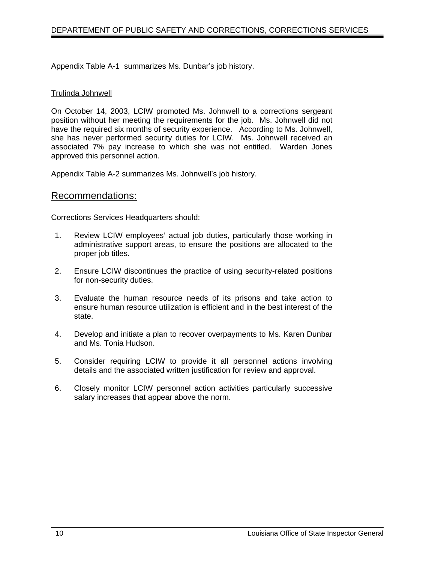Appendix Table A-1 summarizes Ms. Dunbar's job history.

#### Trulinda Johnwell

On October 14, 2003, LCIW promoted Ms. Johnwell to a corrections sergeant position without her meeting the requirements for the job. Ms. Johnwell did not have the required six months of security experience. According to Ms. Johnwell, she has never performed security duties for LCIW. Ms. Johnwell received an associated 7% pay increase to which she was not entitled. Warden Jones approved this personnel action.

Appendix Table A-2 summarizes Ms. Johnwell's job history.

#### Recommendations:

Corrections Services Headquarters should:

- 1. Review LCIW employees' actual job duties, particularly those working in administrative support areas, to ensure the positions are allocated to the proper job titles.
- 2. Ensure LCIW discontinues the practice of using security-related positions for non-security duties.
- 3. Evaluate the human resource needs of its prisons and take action to ensure human resource utilization is efficient and in the best interest of the state.
- 4. Develop and initiate a plan to recover overpayments to Ms. Karen Dunbar and Ms. Tonia Hudson.
- 5. Consider requiring LCIW to provide it all personnel actions involving details and the associated written justification for review and approval.
- 6. Closely monitor LCIW personnel action activities particularly successive salary increases that appear above the norm.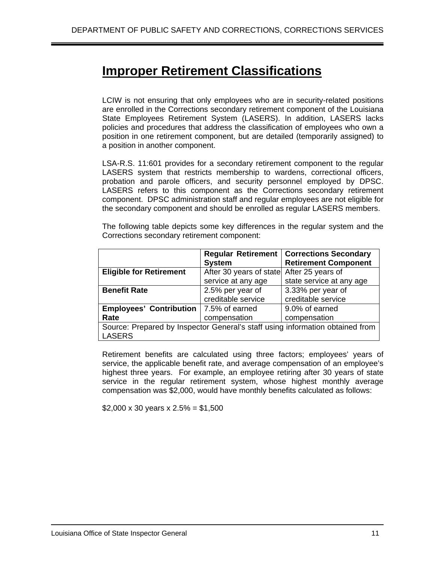## **Improper Retirement Classifications**

LCIW is not ensuring that only employees who are in security-related positions are enrolled in the Corrections secondary retirement component of the Louisiana State Employees Retirement System (LASERS). In addition, LASERS lacks policies and procedures that address the classification of employees who own a position in one retirement component, but are detailed (temporarily assigned) to a position in another component.

LSA-R.S. 11:601 provides for a secondary retirement component to the regular LASERS system that restricts membership to wardens, correctional officers, probation and parole officers, and security personnel employed by DPSC. LASERS refers to this component as the Corrections secondary retirement component. DPSC administration staff and regular employees are not eligible for the secondary component and should be enrolled as regular LASERS members.

The following table depicts some key differences in the regular system and the Corrections secondary retirement component:

|                                                                               |                                           | <b>Regular Retirement   Corrections Secondary</b> |  |  |
|-------------------------------------------------------------------------------|-------------------------------------------|---------------------------------------------------|--|--|
|                                                                               | <b>System</b>                             | <b>Retirement Component</b>                       |  |  |
| <b>Eligible for Retirement</b>                                                | After 30 years of state After 25 years of |                                                   |  |  |
|                                                                               | service at any age                        | state service at any age                          |  |  |
| <b>Benefit Rate</b>                                                           | 2.5% per year of                          | 3.33% per year of                                 |  |  |
|                                                                               | creditable service                        | creditable service                                |  |  |
| <b>Employees' Contribution  </b>                                              | 7.5% of earned                            | 9.0% of earned                                    |  |  |
| Rate                                                                          | compensation                              | compensation                                      |  |  |
| Source: Prepared by Inspector General's staff using information obtained from |                                           |                                                   |  |  |
| <b>LASERS</b>                                                                 |                                           |                                                   |  |  |

Retirement benefits are calculated using three factors; employees' years of service, the applicable benefit rate, and average compensation of an employee's highest three years. For example, an employee retiring after 30 years of state service in the regular retirement system, whose highest monthly average compensation was \$2,000, would have monthly benefits calculated as follows:

\$2,000 x 30 years x  $2.5% = $1,500$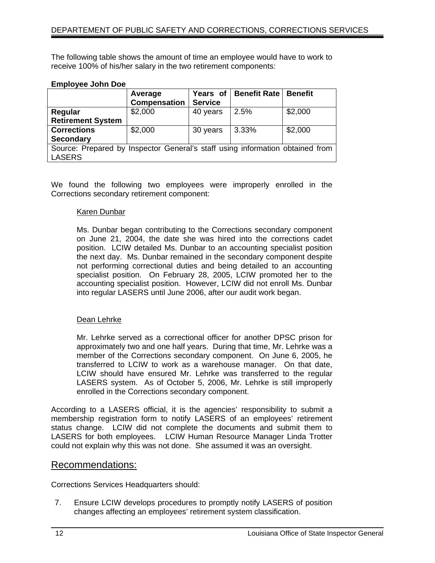The following table shows the amount of time an employee would have to work to receive 100% of his/her salary in the two retirement components:

#### **Employee John Doe**

|                                                                               | Average             | Years of       | <b>Benefit Rate</b> | <b>Benefit</b> |  |
|-------------------------------------------------------------------------------|---------------------|----------------|---------------------|----------------|--|
|                                                                               | <b>Compensation</b> | <b>Service</b> |                     |                |  |
| Regular                                                                       | \$2,000             | 40 years       | 2.5%                | \$2,000        |  |
| <b>Retirement System</b>                                                      |                     |                |                     |                |  |
| <b>Corrections</b>                                                            | \$2,000             | 30 years       | 3.33%               | \$2,000        |  |
| <b>Secondary</b>                                                              |                     |                |                     |                |  |
| Source: Prepared by Inspector General's staff using information obtained from |                     |                |                     |                |  |
| <b>LASERS</b>                                                                 |                     |                |                     |                |  |

We found the following two employees were improperly enrolled in the Corrections secondary retirement component:

#### Karen Dunbar

Ms. Dunbar began contributing to the Corrections secondary component on June 21, 2004, the date she was hired into the corrections cadet position. LCIW detailed Ms. Dunbar to an accounting specialist position the next day. Ms. Dunbar remained in the secondary component despite not performing correctional duties and being detailed to an accounting specialist position. On February 28, 2005, LCIW promoted her to the accounting specialist position. However, LCIW did not enroll Ms. Dunbar into regular LASERS until June 2006, after our audit work began.

#### Dean Lehrke

Mr. Lehrke served as a correctional officer for another DPSC prison for approximately two and one half years. During that time, Mr. Lehrke was a member of the Corrections secondary component. On June 6, 2005, he transferred to LCIW to work as a warehouse manager. On that date, LCIW should have ensured Mr. Lehrke was transferred to the regular LASERS system. As of October 5, 2006, Mr. Lehrke is still improperly enrolled in the Corrections secondary component.

According to a LASERS official, it is the agencies' responsibility to submit a membership registration form to notify LASERS of an employees' retirement status change. LCIW did not complete the documents and submit them to LASERS for both employees. LCIW Human Resource Manager Linda Trotter could not explain why this was not done. She assumed it was an oversight.

#### Recommendations:

Corrections Services Headquarters should:

7. Ensure LCIW develops procedures to promptly notify LASERS of position changes affecting an employees' retirement system classification.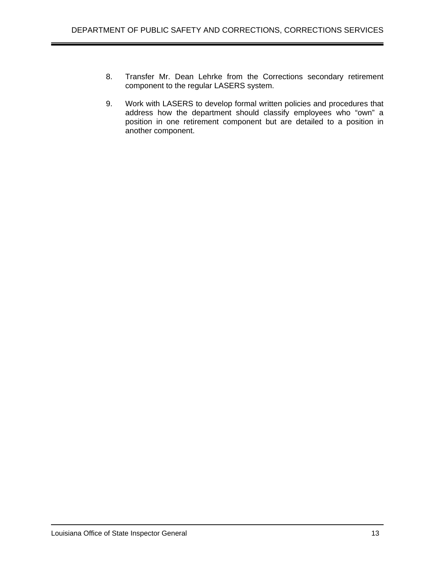- 8. Transfer Mr. Dean Lehrke from the Corrections secondary retirement component to the regular LASERS system.
- 9. Work with LASERS to develop formal written policies and procedures that address how the department should classify employees who "own" a position in one retirement component but are detailed to a position in another component.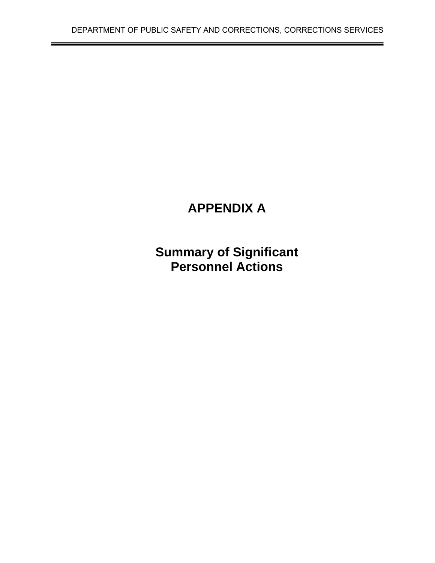# **APPENDIX A**

**Summary of Significant Personnel Actions**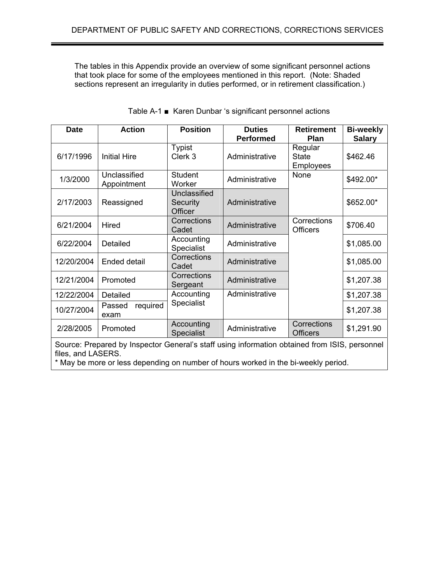The tables in this Appendix provide an overview of some significant personnel actions that took place for some of the employees mentioned in this report. (Note: Shaded sections represent an irregularity in duties performed, or in retirement classification.)

| Date       | <b>Action</b>               | <b>Position</b>                     | <b>Duties</b><br><b>Performed</b> | <b>Retirement</b><br><b>Plan</b>            | <b>Bi-weekly</b><br><b>Salary</b> |
|------------|-----------------------------|-------------------------------------|-----------------------------------|---------------------------------------------|-----------------------------------|
| 6/17/1996  | <b>Initial Hire</b>         | <b>Typist</b><br>Clerk 3            | Administrative                    | Regular<br><b>State</b><br><b>Employees</b> | \$462.46                          |
| 1/3/2000   | Unclassified<br>Appointment | <b>Student</b><br>Worker            | Administrative                    | None                                        | \$492.00*                         |
| 2/17/2003  | Reassigned                  | Unclassified<br>Security<br>Officer | Administrative                    |                                             | \$652.00*                         |
| 6/21/2004  | <b>Hired</b>                | Corrections<br>Cadet                | Administrative                    | Corrections<br><b>Officers</b>              | \$706.40                          |
| 6/22/2004  | Detailed                    | Accounting<br><b>Specialist</b>     | Administrative                    |                                             | \$1,085.00                        |
| 12/20/2004 | <b>Ended detail</b>         | Corrections<br>Cadet                | Administrative                    |                                             | \$1,085.00                        |
| 12/21/2004 | Promoted                    | Corrections<br>Sergeant             | Administrative                    |                                             | \$1,207.38                        |
| 12/22/2004 | Detailed                    | Accounting                          | Administrative                    |                                             | \$1,207.38                        |
| 10/27/2004 | required<br>Passed<br>exam  | <b>Specialist</b>                   |                                   |                                             | \$1,207.38                        |
| 2/28/2005  | Promoted                    | Accounting<br><b>Specialist</b>     | Administrative                    | Corrections<br><b>Officers</b>              | \$1,291.90                        |

|  | Table A-1 ■ Karen Dunbar 's significant personnel actions |
|--|-----------------------------------------------------------|

Source: Prepared by Inspector General's staff using information obtained from ISIS, personnel files, and LASERS.

\* May be more or less depending on number of hours worked in the bi-weekly period.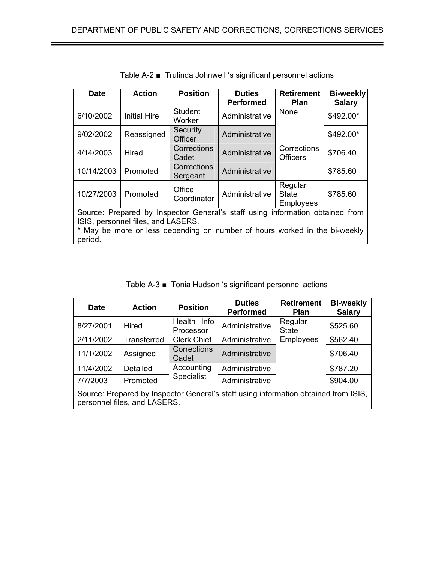| <b>Date</b>                                                                           | <b>Action</b>       | <b>Position</b>         | <b>Duties</b><br><b>Performed</b> | <b>Retirement</b><br><b>Plan</b>            | <b>Bi-weekly</b><br><b>Salary</b> |
|---------------------------------------------------------------------------------------|---------------------|-------------------------|-----------------------------------|---------------------------------------------|-----------------------------------|
| 6/10/2002                                                                             | <b>Initial Hire</b> | Student<br>Worker       | Administrative                    | <b>None</b>                                 | \$492.00*                         |
| 9/02/2002                                                                             | Reassigned          | Security<br>Officer     | Administrative                    |                                             | \$492.00*                         |
| 4/14/2003                                                                             | Hired               | Corrections<br>Cadet    | Administrative                    | Corrections<br><b>Officers</b>              | \$706.40                          |
| 10/14/2003                                                                            | Promoted            | Corrections<br>Sergeant | Administrative                    |                                             | \$785.60                          |
| 10/27/2003                                                                            | Promoted            | Office<br>Coordinator   | Administrative                    | Regular<br><b>State</b><br><b>Employees</b> | \$785.60                          |
| Source: Prepared by Inspector General's staff using information obtained from         |                     |                         |                                   |                                             |                                   |
| ISIS, personnel files, and LASERS.                                                    |                     |                         |                                   |                                             |                                   |
| * May be more or less depending on number of hours worked in the bi-weekly<br>period. |                     |                         |                                   |                                             |                                   |

Table A-2 ■ Trulinda Johnwell 's significant personnel actions

Table A-3 ■ Tonia Hudson 's significant personnel actions

| <b>Date</b>                                                                                                         | <b>Action</b> | <b>Position</b>          | <b>Duties</b><br><b>Performed</b> | <b>Retirement</b><br><b>Plan</b> | <b>Bi-weekly</b><br><b>Salary</b> |
|---------------------------------------------------------------------------------------------------------------------|---------------|--------------------------|-----------------------------------|----------------------------------|-----------------------------------|
| 8/27/2001                                                                                                           | <b>Hired</b>  | Health Info<br>Processor | Administrative                    | Regular<br><b>State</b>          | \$525.60                          |
| 2/11/2002                                                                                                           | Transferred   | <b>Clerk Chief</b>       | Administrative                    | Employees                        | \$562.40                          |
| 11/1/2002                                                                                                           | Assigned      | Corrections<br>Cadet     | Administrative                    |                                  | \$706.40                          |
| 11/4/2002                                                                                                           | Detailed      | Accounting               | Administrative                    |                                  | \$787.20                          |
| 7/7/2003                                                                                                            | Promoted      | <b>Specialist</b>        | Administrative                    |                                  | \$904.00                          |
| Source: Prepared by Inspector General's staff using information obtained from ISIS,<br>personnel files, and LASERS. |               |                          |                                   |                                  |                                   |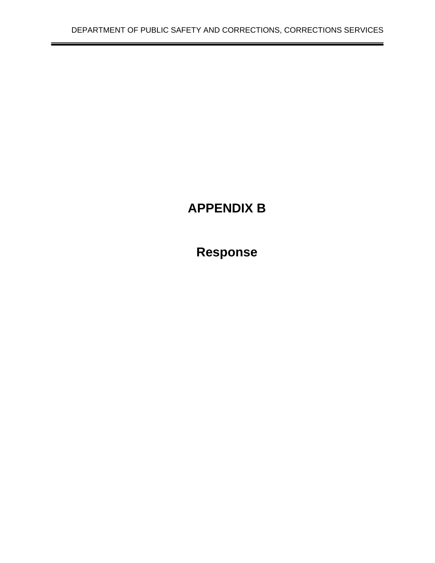$\overline{\phantom{0}}$ 

# **APPENDIX B**

**Response**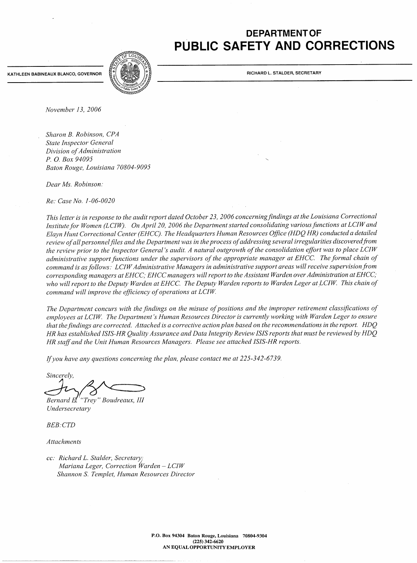### **DEPARTMENT OF** PUBLIC SAFETY AND CORRECTIONS

KATHLEEN BABINEAUX BLANCO, GOVERNOR



RICHARD L. STALDER, SECRETARY

November 13, 2006

Sharon B. Robinson, CPA **State Inspector General** Division of Administration P. O. Box 94095 Baton Rouge, Louisiana 70804-9095

Dear Ms. Robinson:

Re: Case No. 1-06-0020

This letter is in response to the audit report dated October 23, 2006 concerning findings at the Louisiana Correctional Institute for Women (LCIW). On April 20, 2006 the Department started consolidating various functions at LCIW and Elayn Hunt Correctional Center (EHCC). The Headquarters Human Resources Office (HDQ HR) conducted a detailed review of all personnel files and the Department was in the process of addressing several irregularities discovered from the review prior to the Inspector General's audit. A natural outgrowth of the consolidation effort was to place LCIW administrative support functions under the supervisors of the appropriate manager at EHCC. The formal chain of command is as follows: LCIW Administrative Managers in administrative support areas will receive supervision from corresponding managers at EHCC; EHCC managers will report to the Assistant Warden over Administration at EHCC; who will report to the Deputy Warden at EHCC. The Deputy Warden reports to Warden Leger at LCIW. This chain of command will improve the efficiency of operations at LCIW.

The Department concurs with the findings on the misuse of positions and the improper retirement classifications of employees at LCIW. The Department's Human Resources Director is currently working with Warden Leger to ensure that the findings are corrected. Attached is a corrective action plan based on the recommendations in the report. HDQ HR has established ISIS-HR Quality Assurance and Data Integrity Review ISIS reports that must be reviewed by HDQ HR staff and the Unit Human Resources Managers. Please see attached ISIS-HR reports.

If you have any questions concerning the plan, please contact me at 225-342-6739.

Sincerely,

"Trey" Boudreaux, III Bernard El

Undersecretary

**BEB**:CTD

Attachments

cc: Richard L. Stalder, Secretary Mariana Leger, Correction Warden - LCIW Shannon S. Templet, Human Resources Director

> P.O. Box 94304 Baton Rouge, Louisiana 70804-9304 (225) 342-6620 AN EQUAL OPPORTUNITY EMPLOYER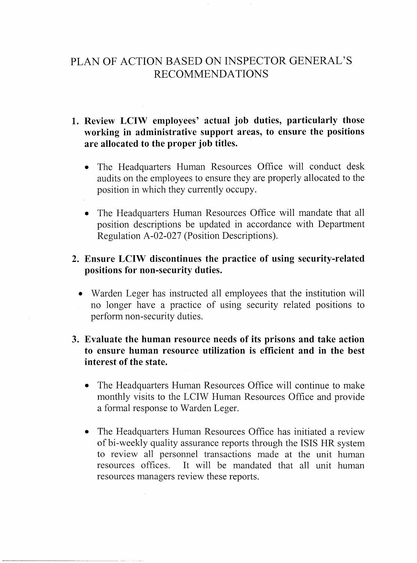### PLAN OF ACTION BASED ON INSPECTOR GENERAL'S **RECOMMENDATIONS**

- 1. Review LCIW employees' actual job duties, particularly those working in administrative support areas, to ensure the positions are allocated to the proper job titles.
	- The Headquarters Human Resources Office will conduct desk audits on the employees to ensure they are properly allocated to the position in which they currently occupy.
	- The Headquarters Human Resources Office will mandate that all position descriptions be updated in accordance with Department Regulation A-02-027 (Position Descriptions).

### 2. Ensure LCIW discontinues the practice of using security-related positions for non-security duties.

• Warden Leger has instructed all employees that the institution will no longer have a practice of using security related positions to perform non-security duties.

### 3. Evaluate the human resource needs of its prisons and take action to ensure human resource utilization is efficient and in the best interest of the state.

- The Headquarters Human Resources Office will continue to make monthly visits to the LCIW Human Resources Office and provide a formal response to Warden Leger.
- The Headquarters Human Resources Office has initiated a review of bi-weekly quality assurance reports through the ISIS HR system to review all personnel transactions made at the unit human resources offices. It will be mandated that all unit human resources managers review these reports.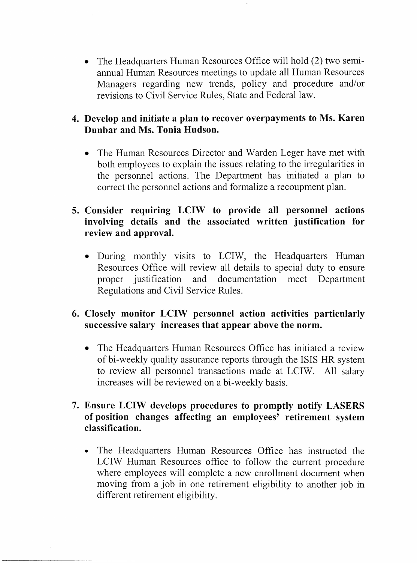• The Headquarters Human Resources Office will hold (2) two semiannual Human Resources meetings to update all Human Resources Managers regarding new trends, policy and procedure and/or revisions to Civil Service Rules, State and Federal law.

### 4. Develop and initiate a plan to recover overpayments to Ms. Karen Dunbar and Ms. Tonia Hudson.

• The Human Resources Director and Warden Leger have met with both employees to explain the issues relating to the irregularities in the personnel actions. The Department has initiated a plan to correct the personnel actions and formalize a recoupment plan.

### 5. Consider requiring LCIW to provide all personnel actions involving details and the associated written justification for review and approval.

• During monthly visits to LCIW, the Headquarters Human Resources Office will review all details to special duty to ensure proper justification documentation meet Department and Regulations and Civil Service Rules.

### 6. Closely monitor LCIW personnel action activities particularly successive salary increases that appear above the norm.

• The Headquarters Human Resources Office has initiated a review of bi-weekly quality assurance reports through the ISIS HR system to review all personnel transactions made at LCIW. All salary increases will be reviewed on a bi-weekly basis.

### 7. Ensure LCIW develops procedures to promptly notify LASERS of position changes affecting an employees' retirement system classification.

• The Headquarters Human Resources Office has instructed the LCIW Human Resources office to follow the current procedure where employees will complete a new enrollment document when moving from a job in one retirement eligibility to another job in different retirement eligibility.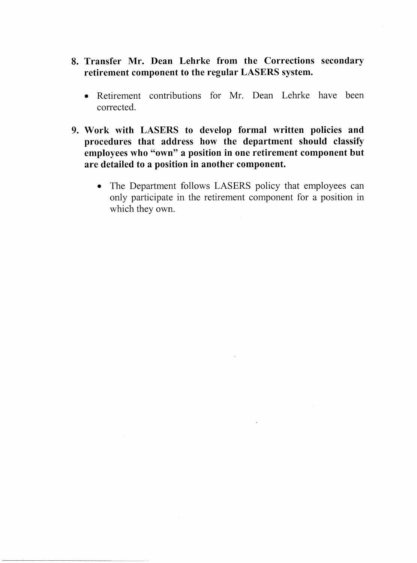- 8. Transfer Mr. Dean Lehrke from the Corrections secondary retirement component to the regular LASERS system.
	- Retirement contributions for Mr. Dean Lehrke have been corrected.
- 9. Work with LASERS to develop formal written policies and procedures that address how the department should classify employees who "own" a position in one retirement component but are detailed to a position in another component.
	- The Department follows LASERS policy that employees can only participate in the retirement component for a position in which they own.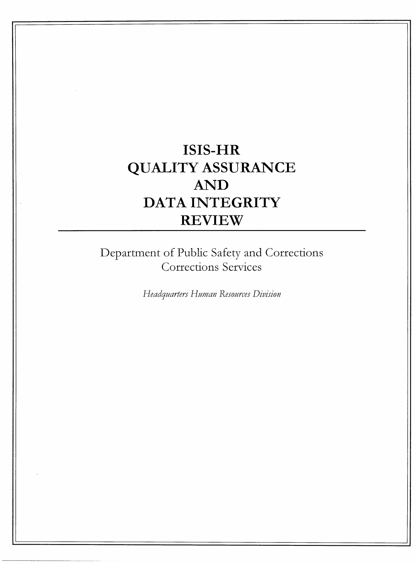# **ISIS-HR QUALITY ASSURANCE AND** DATA INTEGRITY **REVIEW**

Department of Public Safety and Corrections Corrections Services

Headquarters Human Resources Division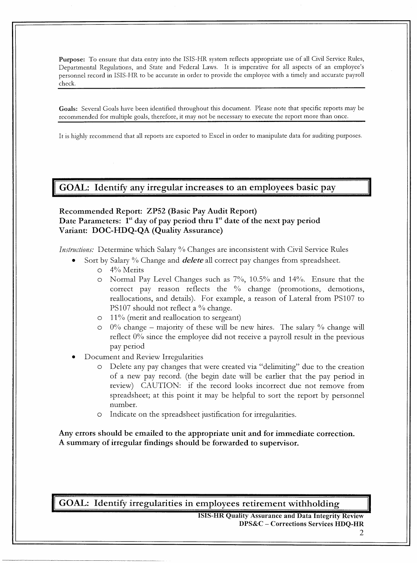Purpose: To ensure that data entry into the ISIS-HR system reflects appropriate use of all Civil Service Rules, Departmental Regulations, and State and Federal Laws. It is imperative for all aspects of an employee's personnel record in ISIS-HR to be accurate in order to provide the employee with a timely and accurate payroll check.

Goals: Several Goals have been identified throughout this document. Please note that specific reports may be recommended for multiple goals, therefore, it may not be necessary to execute the report more than once.

It is highly recommend that all reports are exported to Excel in order to manipulate data for auditing purposes.

GOAL: Identify any irregular increases to an employees basic pay

#### Recommended Report: ZP52 (Basic Pay Audit Report) Date Parameters: 1<sup>st</sup> day of pay period thru 1<sup>st</sup> date of the next pay period Variant: DOC-HDQ-QA (Quality Assurance)

Instructions: Determine which Salary % Changes are inconsistent with Civil Service Rules

- Sort by Salary % Change and *delete* all correct pay changes from spreadsheet.
	- $\circ$  4% Merits
	- O Normal Pay Level Changes such as 7%, 10.5% and 14%. Ensure that the correct pay reason reflects the % change (promotions, demotions, reallocations, and details). For example, a reason of Lateral from PS107 to PS107 should not reflect a % change.
	- $\circ$  11% (ment and reallocation to sergeant)
	- $0\%$  change majority of these will be new hires. The salary % change will reflect  $0\%$  since the employee did not receive a payroll result in the previous pay period
- Document and Review Irregularities
	- Delete any pay changes that were created via "delimiting" due to the creation  $\circ$ of a new pay record. (the begin date will be earlier that the pay period in review) CAUTION: if the record looks incorrect due not remove from spreadsheet; at this point it may be helpful to sort the report by personnel number.
	- Indicate on the spreadsheet justification for irregularities.  $\circ$

Any errors should be emailed to the appropriate unit and for immediate correction. A summary of irregular findings should be forwarded to supervisor.

GOAL: Identify irregularities in employees retirement withholding

**ISIS-HR Quality Assurance and Data Integrity Review** DPS&C - Corrections Services HDQ-HR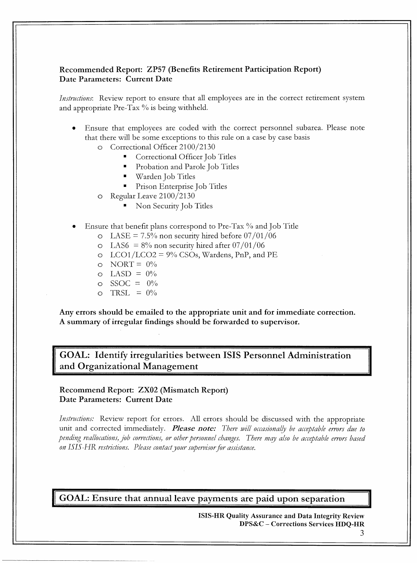#### Recommended Report: ZP57 (Benefits Retirement Participation Report) Date Parameters: Current Date

*Instructions*: Review report to ensure that all employees are in the correct retirement system and appropriate Pre-Tax % is being withheld.

- Ensure that employees are coded with the correct personnel subarea. Please note that there will be some exceptions to this rule on a case by case basis
	- O Correctional Officer 2100/2130
		- Correctional Officer Job Titles
		- Probation and Parole Job Titles
		- Warden Job Titles
		- Prison Enterprise Job Titles
	- Regular Leave 2100/2130  $\circ$ 
		- Non Security Job Titles  $\blacksquare$
- Ensure that benefit plans correspond to Pre-Tax % and Job Title
	- $\Omega$  LASE = 7.5% non security hired before 07/01/06
	- $\circ$  LAS6 = 8% non security hired after 07/01/06
	- $\circ$  LCO1/LCO2 = 9% CSOs, Wardens, PnP, and PE
	- $\circ$  NORT =  $0\%$
	- $\circ$  LASD =  $0\%$
	- $\circ$  SSOC =  $0\%$
	- $\circ$  TRSL =  $0\%$

Any errors should be emailed to the appropriate unit and for immediate correction. A summary of irregular findings should be forwarded to supervisor.

GOAL: Identify irregularities between ISIS Personnel Administration and Organizational Management

Recommend Report: ZX02 (Mismatch Report) Date Parameters: Current Date

*Instructions:* Review report for errors. All errors should be discussed with the appropriate unit and corrected immediately. Please note: There will occasionally be acceptable errors due to pending reallocations, job corrections, or other personnel changes. There may also be acceptable errors based on ISIS-HR restrictions. Please contact your supervisor for assistance.

GOAL: Ensure that annual leave payments are paid upon separation

**ISIS-HR Quality Assurance and Data Integrity Review** DPS&C - Corrections Services HDQ-HR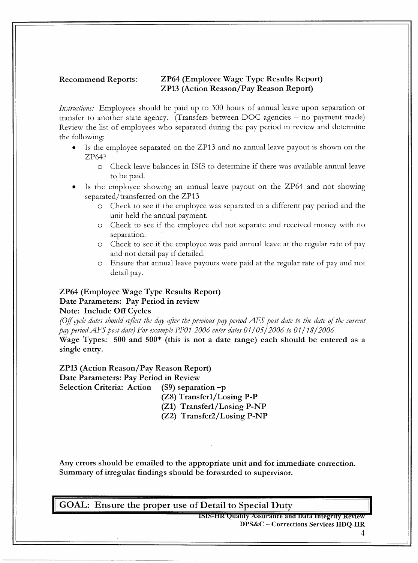#### **Recommend Reports:**

#### ZP64 (Employee Wage Type Results Report) **ZP13 (Action Reason/Pay Reason Report)**

*Instructions:* Employees should be paid up to 300 hours of annual leave upon separation or transfer to another state agency. (Transfers between DOC agencies – no payment made) Review the list of employees who separated during the pay period in review and determine the following:

- $\bullet$ Is the employee separated on the ZP13 and no annual leave payout is shown on the ZP64?
	- Check leave balances in ISIS to determine if there was available annual leave  $\circ$ to be paid.
- Is the employee showing an annual leave payout on the ZP64 and not showing separated/transferred on the ZP13
	- Check to see if the employee was separated in a different pay period and the unit held the annual payment.
	- Check to see if the employee did not separate and received money with no  $\circ$ separation.
	- o Check to see if the employee was paid annual leave at the regular rate of pay and not detail pay if detailed.
	- O Ensure that annual leave payouts were paid at the regular rate of pay and not detail pay.

#### ZP64 (Employee Wage Type Results Report) Date Parameters: Pay Period in review

#### **Note: Include Off Cycles**

(Off cycle dates should reflect the day after the previous pay period AFS post date to the date of the current pay period AFS post date) For example PP01-2006 enter dates  $01/05/2006$  to  $01/18/2006$ 

Wage Types: 500 and 500\* (this is not a date range) each should be entered as a single entry.

#### **ZP13 (Action Reason/Pay Reason Report)** Date Parameters: Pay Period in Review

**Selection Criteria: Action** 

 $(S9)$  separation -p

(Z8) Transfer1/Losing P-P

(Z1) Transfer1/Losing P-NP

(Z2) Transfer2/Losing P-NP

Any errors should be emailed to the appropriate unit and for immediate correction. Summary of irregular findings should be forwarded to supervisor.

GOAL: Ensure the proper use of Detail to Special Duty

ISIS-HR Quality Assurance and Data Integrity Review DPS&C - Corrections Services HDQ-HR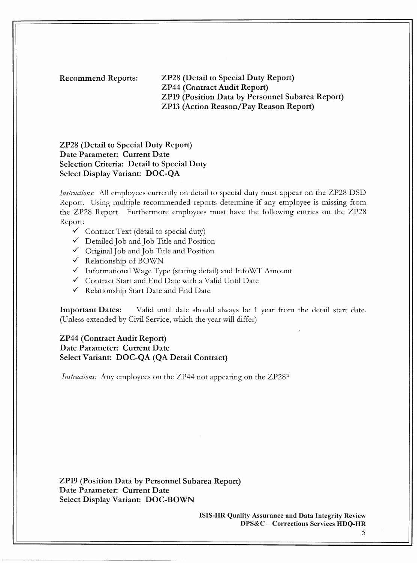**Recommend Reports:** 

**ZP28 (Detail to Special Duty Report) ZP44 (Contract Audit Report) ZP19 (Position Data by Personnel Subarea Report) ZP13 (Action Reason/Pay Reason Report)** 

**ZP28 (Detail to Special Duty Report)** Date Parameter: Current Date **Selection Criteria: Detail to Special Duty Select Display Variant: DOC-QA** 

*Instructions:* All employees currently on detail to special duty must appear on the ZP28 DSD Report. Using multiple recommended reports determine if any employee is missing from the ZP28 Report. Furthermore employees must have the following entries on the ZP28 Report:

- Contract Text (detail to special duty)
- Detailed Job and Job Title and Position
- ✓ Original Job and Job Title and Position
- $\checkmark$  Relationship of BOWN
- $\checkmark$  Informational Wage Type (stating detail) and InfoWT Amount
- Contract Start and End Date with a Valid Until Date
- ← Relationship Start Date and End Date

**Important Dates:** Valid until date should always be 1 year from the detail start date. (Unless extended by Civil Service, which the year will differ)

#### **ZP44 (Contract Audit Report)** Date Parameter: Current Date Select Variant: DOC-QA (QA Detail Contract)

*Instructions:* Any employees on the ZP44 not appearing on the ZP28?

**ZP19 (Position Data by Personnel Subarea Report)** Date Parameter: Current Date Select Display Variant: DOC-BOWN

> **ISIS-HR Quality Assurance and Data Integrity Review** DPS&C – Corrections Services HDQ-HR

<sup>5</sup>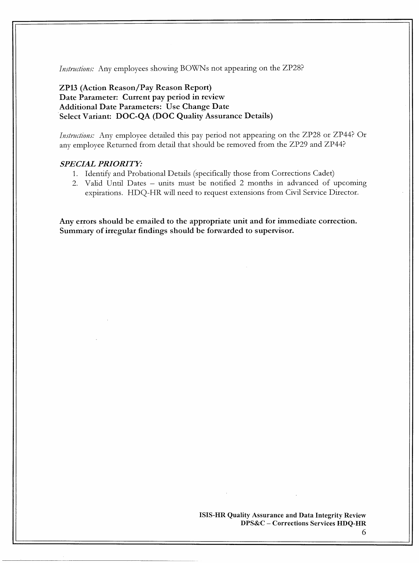*Instructions:* Any employees showing BOWNs not appearing on the ZP28?

#### ZP13 (Action Reason/Pay Reason Report) Date Parameter: Current pay period in review **Additional Date Parameters: Use Change Date** Select Variant: DOC-QA (DOC Quality Assurance Details)

Instructions: Any employee detailed this pay period not appearing on the ZP28 or ZP44? Or any employee Returned from detail that should be removed from the ZP29 and ZP44?

#### **SPECIAL PRIORITY:**

- 1. Identify and Probational Details (specifically those from Corrections Cadet)
- 2. Valid Until Dates units must be notified 2 months in advanced of upcoming expirations. HDQ-HR will need to request extensions from Civil Service Director.

Any errors should be emailed to the appropriate unit and for immediate correction. Summary of irregular findings should be forwarded to supervisor.

> ISIS-HR Quality Assurance and Data Integrity Review DPS&C - Corrections Services HDQ-HR

> > 6